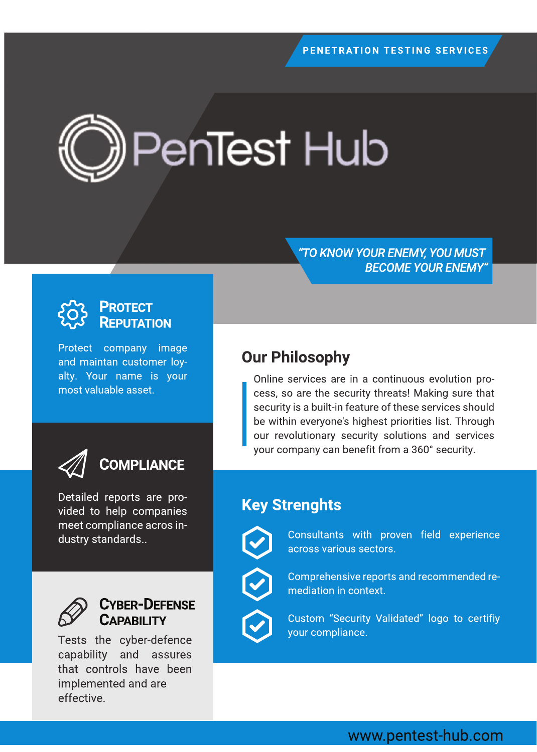

#### "TO KNOW YOUR ENEMY, YOU MUST **BECOME YOUR ENEMY"**

### PROTECT REPUTATION

Protect company image and maintan customer loyalty. Your name is your most valuable asset.



Detailed reports are provided to help companies meet compliance acros industry standards..



### **CYBER-DEFENSE CAPABILITY**

Tests the cyber-defence capability and assures that controls have been implemented and are effective.

## **Our Philosophy**

Online services are in a continuous evolution process, so are the security threats! Making sure that security is a built-in feature of these services should be within everyone's highest priorities list. Through our revolutionary security solutions and services your company can benefit from a 360° security.

## **Key Strenghts**



Consultants with proven field experience across various sectors.



Comprehensive reports and recommended remediation in context.

Custom "Security Validated" logo to certifiy your compliance.

### www.pentest-hub.com